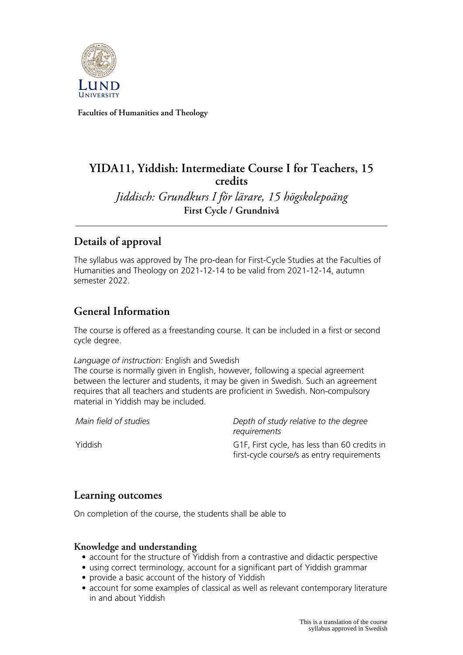

**Faculties of Humanities and Theology**

# **YIDA11, Yiddish: Intermediate Course I for Teachers, 15 credits**

*Jiddisch: Grundkurs I för lärare, 15 högskolepoäng* **First Cycle / Grundnivå**

# **Details of approval**

The syllabus was approved by The pro-dean for First-Cycle Studies at the Faculties of Humanities and Theology on 2021-12-14 to be valid from 2021-12-14, autumn semester 2022.

## **General Information**

The course is offered as a freestanding course. It can be included in a first or second cycle degree.

#### *Language of instruction:* English and Swedish

The course is normally given in English, however, following a special agreement between the lecturer and students, it may be given in Swedish. Such an agreement requires that all teachers and students are proficient in Swedish. Non-compulsory material in Yiddish may be included.

*Main field of studies Depth of study relative to the degree requirements*

Yiddish G1F, First cycle, has less than 60 credits in first-cycle course/s as entry requirements

## **Learning outcomes**

On completion of the course, the students shall be able to

### **Knowledge and understanding**

- account for the structure of Yiddish from a contrastive and didactic perspective
- using correct terminology, account for a significant part of Yiddish grammar
- provide a basic account of the history of Yiddish
- account for some examples of classical as well as relevant contemporary literature in and about Yiddish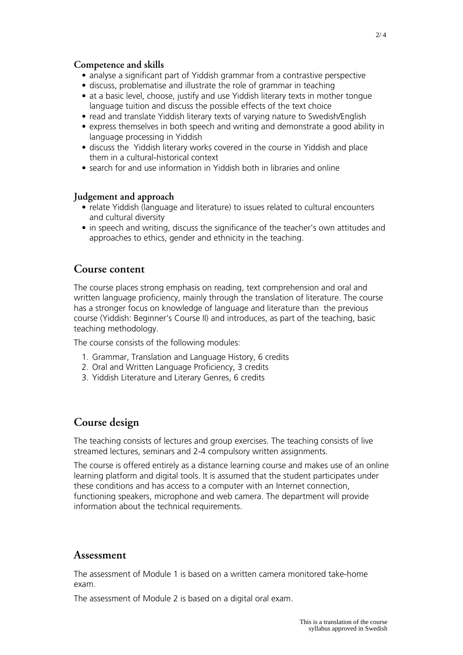### **Competence and skills**

- analyse a significant part of Yiddish grammar from a contrastive perspective
- discuss, problematise and illustrate the role of grammar in teaching
- at a basic level, choose, justify and use Yiddish literary texts in mother tongue language tuition and discuss the possible effects of the text choice
- read and translate Yiddish literary texts of varying nature to Swedish/English
- express themselves in both speech and writing and demonstrate a good ability in language processing in Yiddish
- discuss the Yiddish literary works covered in the course in Yiddish and place them in a cultural-historical context
- search for and use information in Yiddish both in libraries and online

### **Judgement and approach**

- relate Yiddish (language and literature) to issues related to cultural encounters and cultural diversity
- in speech and writing, discuss the significance of the teacher's own attitudes and approaches to ethics, gender and ethnicity in the teaching.

### **Course content**

The course places strong emphasis on reading, text comprehension and oral and written language proficiency, mainly through the translation of literature. The course has a stronger focus on knowledge of language and literature than the previous course (Yiddish: Beginner's Course II) and introduces, as part of the teaching, basic teaching methodology.

The course consists of the following modules:

- 1. Grammar, Translation and Language History, 6 credits
- 2. Oral and Written Language Proficiency, 3 credits
- 3. Yiddish Literature and Literary Genres, 6 credits

## **Course design**

The teaching consists of lectures and group exercises. The teaching consists of live streamed lectures, seminars and 2-4 compulsory written assignments.

The course is offered entirely as a distance learning course and makes use of an online learning platform and digital tools. It is assumed that the student participates under these conditions and has access to a computer with an Internet connection, functioning speakers, microphone and web camera. The department will provide information about the technical requirements.

### **Assessment**

The assessment of Module 1 is based on a written camera monitored take-home exam.

The assessment of Module 2 is based on a digital oral exam.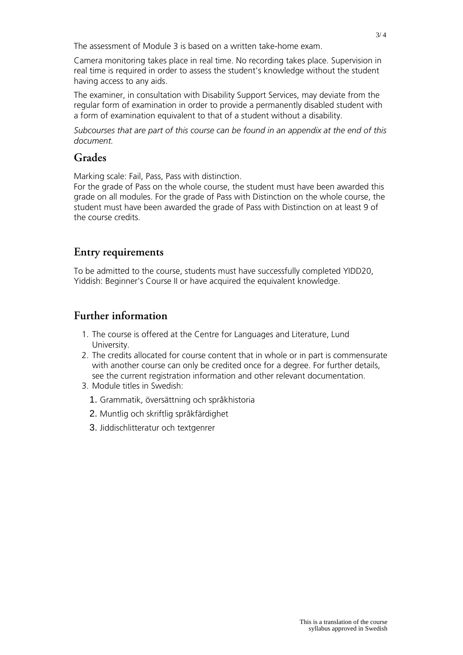The assessment of Module 3 is based on a written take-home exam.

Camera monitoring takes place in real time. No recording takes place. Supervision in real time is required in order to assess the student's knowledge without the student having access to any aids.

The examiner, in consultation with Disability Support Services, may deviate from the regular form of examination in order to provide a permanently disabled student with a form of examination equivalent to that of a student without a disability.

*Subcourses that are part of this course can be found in an appendix at the end of this document.*

## **Grades**

Marking scale: Fail, Pass, Pass with distinction.

For the grade of Pass on the whole course, the student must have been awarded this grade on all modules. For the grade of Pass with Distinction on the whole course, the student must have been awarded the grade of Pass with Distinction on at least 9 of the course credits.

## **Entry requirements**

To be admitted to the course, students must have successfully completed YIDD20, Yiddish: Beginner's Course II or have acquired the equivalent knowledge.

## **Further information**

- 1. The course is offered at the Centre for Languages and Literature, Lund University.
- 2. The credits allocated for course content that in whole or in part is commensurate with another course can only be credited once for a degree. For further details, see the current registration information and other relevant documentation.
- 3. Module titles in Swedish:
	- 1. Grammatik, översättning och språkhistoria
	- 2. Muntlig och skriftlig språkfärdighet
	- 3. Jiddischlitteratur och textgenrer